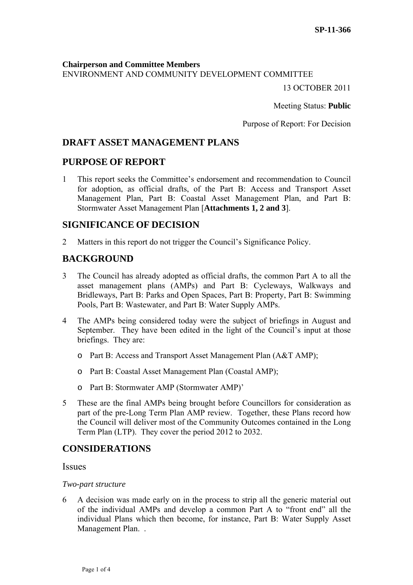**Chairperson and Committee Members**

ENVIRONMENT AND COMMUNITY DEVELOPMENT COMMITTEE

13 OCTOBER 2011

Meeting Status: **Public**

Purpose of Report: For Decision

# **DRAFT ASSET MANAGEMENT PLANS**

# **PURPOSE OF REPORT**

1 This report seeks the Committee's endorsement and recommendation to Council for adoption, as official drafts, of the Part B: Access and Transport Asset Management Plan, Part B: Coastal Asset Management Plan, and Part B: Stormwater Asset Management Plan [**Attachments 1, 2 and 3**].

# **SIGNIFICANCE OF DECISION**

2 Matters in this report do not trigger the Council's Significance Policy.

# **BACKGROUND**

- 3 The Council has already adopted as official drafts, the common Part A to all the asset management plans (AMPs) and Part B: Cycleways, Walkways and Bridleways, Part B: Parks and Open Spaces, Part B: Property, Part B: Swimming Pools, Part B: Wastewater, and Part B: Water Supply AMPs.
- 4 The AMPs being considered today were the subject of briefings in August and September. They have been edited in the light of the Council's input at those briefings. They are:
	- o Part B: Access and Transport Asset Management Plan (A&T AMP);
	- o Part B: Coastal Asset Management Plan (Coastal AMP);
	- o Part B: Stormwater AMP (Stormwater AMP)'
- 5 These are the final AMPs being brought before Councillors for consideration as part of the pre-Long Term Plan AMP review. Together, these Plans record how the Council will deliver most of the Community Outcomes contained in the Long Term Plan (LTP). They cover the period 2012 to 2032.

# **CONSIDERATIONS**

## Issues

## *Two-part structure*

6 A decision was made early on in the process to strip all the generic material out of the individual AMPs and develop a common Part A to "front end" all the individual Plans which then become, for instance, Part B: Water Supply Asset Management Plan. .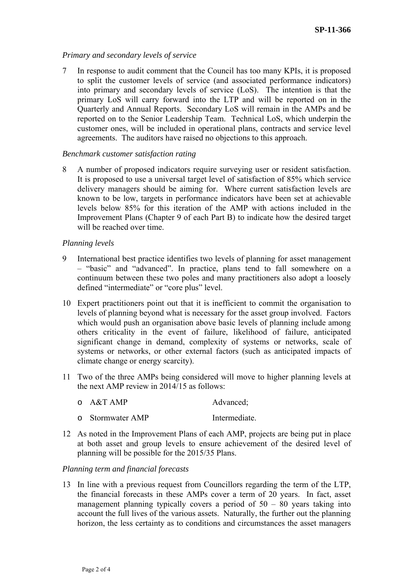#### *Primary and secondary levels of service*

7 In response to audit comment that the Council has too many KPIs, it is proposed to split the customer levels of service (and associated performance indicators) into primary and secondary levels of service (LoS). The intention is that the primary LoS will carry forward into the LTP and will be reported on in the Quarterly and Annual Reports. Secondary LoS will remain in the AMPs and be reported on to the Senior Leadership Team. Technical LoS, which underpin the customer ones, will be included in operational plans, contracts and service level agreements. The auditors have raised no objections to this approach.

#### *Benchmark customer satisfaction rating*

8 A number of proposed indicators require surveying user or resident satisfaction. It is proposed to use a universal target level of satisfaction of 85% which service delivery managers should be aiming for. Where current satisfaction levels are known to be low, targets in performance indicators have been set at achievable levels below 85% for this iteration of the AMP with actions included in the Improvement Plans (Chapter 9 of each Part B) to indicate how the desired target will be reached over time.

#### *Planning levels*

- 9 International best practice identifies two levels of planning for asset management – "basic" and "advanced". In practice, plans tend to fall somewhere on a continuum between these two poles and many practitioners also adopt a loosely defined "intermediate" or "core plus" level.
- 10 Expert practitioners point out that it is inefficient to commit the organisation to levels of planning beyond what is necessary for the asset group involved. Factors which would push an organisation above basic levels of planning include among others criticality in the event of failure, likelihood of failure, anticipated significant change in demand, complexity of systems or networks, scale of systems or networks, or other external factors (such as anticipated impacts of climate change or energy scarcity).
- 11 Two of the three AMPs being considered will move to higher planning levels at the next AMP review in 2014/15 as follows:
	- o A&T AMP Advanced:
	- o Stormwater AMP Intermediate.
- 12 As noted in the Improvement Plans of each AMP, projects are being put in place at both asset and group levels to ensure achievement of the desired level of planning will be possible for the 2015/35 Plans.

#### *Planning term and financial forecasts*

13 In line with a previous request from Councillors regarding the term of the LTP, the financial forecasts in these AMPs cover a term of 20 years. In fact, asset management planning typically covers a period of  $50 - 80$  years taking into account the full lives of the various assets. Naturally, the further out the planning horizon, the less certainty as to conditions and circumstances the asset managers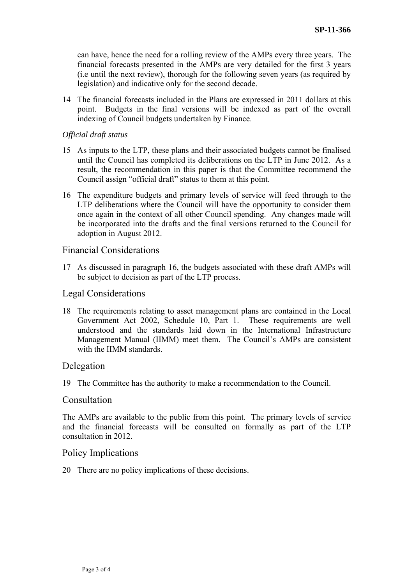can have, hence the need for a rolling review of the AMPs every three years. The financial forecasts presented in the AMPs are very detailed for the first 3 years (i.e until the next review), thorough for the following seven years (as required by legislation) and indicative only for the second decade.

14 The financial forecasts included in the Plans are expressed in 2011 dollars at this point. Budgets in the final versions will be indexed as part of the overall indexing of Council budgets undertaken by Finance.

#### *Official draft status*

- 15 As inputs to the LTP, these plans and their associated budgets cannot be finalised until the Council has completed its deliberations on the LTP in June 2012. As a result, the recommendation in this paper is that the Committee recommend the Council assign "official draft" status to them at this point.
- 16 The expenditure budgets and primary levels of service will feed through to the LTP deliberations where the Council will have the opportunity to consider them once again in the context of all other Council spending. Any changes made will be incorporated into the drafts and the final versions returned to the Council for adoption in August 2012.

# Financial Considerations

17 As discussed in paragraph 16, the budgets associated with these draft AMPs will be subject to decision as part of the LTP process.

## Legal Considerations

18 The requirements relating to asset management plans are contained in the Local Government Act 2002, Schedule 10, Part 1. These requirements are well understood and the standards laid down in the International Infrastructure Management Manual (IIMM) meet them. The Council's AMPs are consistent with the IIMM standards.

## Delegation

19 The Committee has the authority to make a recommendation to the Council.

## **Consultation**

The AMPs are available to the public from this point. The primary levels of service and the financial forecasts will be consulted on formally as part of the LTP consultation in 2012.

## Policy Implications

20 There are no policy implications of these decisions.